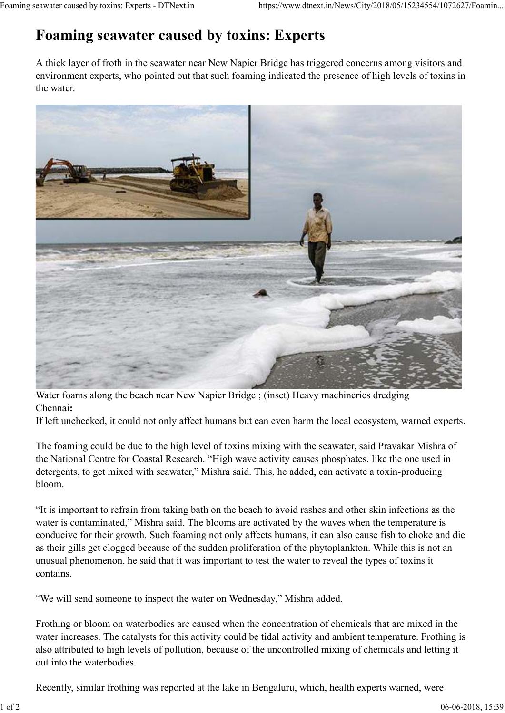## **Foaming seawater caused by toxins: Experts**

A thick layer of froth in the seawater near New Napier Bridge has triggered concerns among visitors and environment experts, who pointed out that such foaming indicated the presence of high levels of toxins in the water.



Water foams along the beach near New Napier Bridge ; (inset) Heavy machineries dredging Chennai**:**

If left unchecked, it could not only affect humans but can even harm the local ecosystem, warned experts.

The foaming could be due to the high level of toxins mixing with the seawater, said Pravakar Mishra of the National Centre for Coastal Research. "High wave activity causes phosphates, like the one used in detergents, to get mixed with seawater," Mishra said. This, he added, can activate a toxin-producing bloom.

"It is important to refrain from taking bath on the beach to avoid rashes and other skin infections as the water is contaminated," Mishra said. The blooms are activated by the waves when the temperature is conducive for their growth. Such foaming not only affects humans, it can also cause fish to choke and die as their gills get clogged because of the sudden proliferation of the phytoplankton. While this is not an unusual phenomenon, he said that it was important to test the water to reveal the types of toxins it contains.

"We will send someone to inspect the water on Wednesday," Mishra added.

Frothing or bloom on waterbodies are caused when the concentration of chemicals that are mixed in the water increases. The catalysts for this activity could be tidal activity and ambient temperature. Frothing is also attributed to high levels of pollution, because of the uncontrolled mixing of chemicals and letting it out into the waterbodies.

Recently, similar frothing was reported at the lake in Bengaluru, which, health experts warned, were